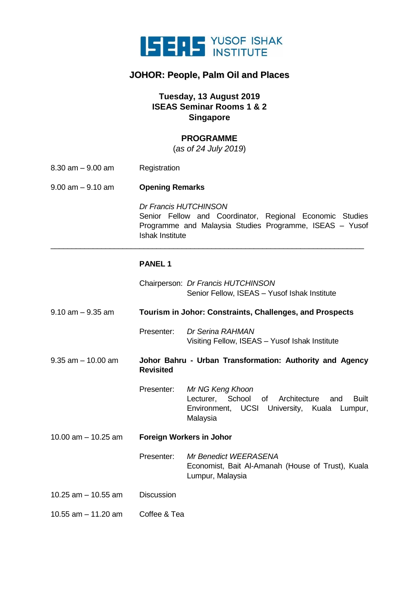

## **JOHOR: People, Palm Oil and Places**

## **Tuesday, 13 August 2019 ISEAS Seminar Rooms 1 & 2 Singapore**

#### **PROGRAMME**

(*as of 24 July 2019*)

- 8.30 am 9.00 am Registration
- 9.00 am 9.10 am **Opening Remarks**

*Dr Francis HUTCHINSON* Senior Fellow and Coordinator, Regional Economic Studies Programme and Malaysia Studies Programme, ISEAS – Yusof Ishak Institute

#### **PANEL 1**

- Chairperson: *Dr Francis HUTCHINSON* Senior Fellow, ISEAS – Yusof Ishak Institute
- 9.10 am 9.35 am **Tourism in Johor: Constraints, Challenges, and Prospects**

\_\_\_\_\_\_\_\_\_\_\_\_\_\_\_\_\_\_\_\_\_\_\_\_\_\_\_\_\_\_\_\_\_\_\_\_\_\_\_\_\_\_\_\_\_\_\_\_\_\_\_\_\_\_\_\_\_\_\_\_\_\_\_\_\_\_\_\_\_\_\_\_\_\_

- Presenter: *Dr Serina RAHMAN* Visiting Fellow, ISEAS – Yusof Ishak Institute
- 9.35 am 10.00 am **Johor Bahru - Urban Transformation: Authority and Agency Revisited** 
	- Presenter: *Mr NG Keng Khoon* Lecturer, School of Architecture and Built Environment, UCSI University, Kuala Lumpur, Malaysia
- 10.00 am 10.25 am **Foreign Workers in Johor**
	- Presenter: *Mr Benedict WEERASENA* Economist, Bait Al-Amanah (House of Trust), Kuala Lumpur, Malaysia
- 10.25 am 10.55 am Discussion
- 10.55 am 11.20 am Coffee & Tea